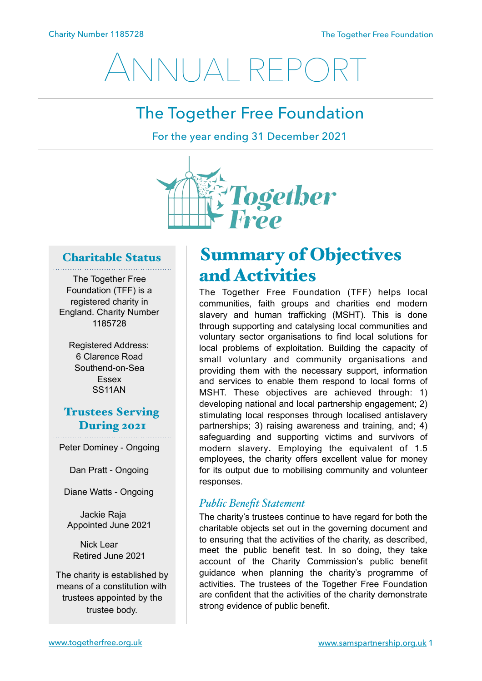Charity Number 1185728 Charity Number 1185728

# ANNUAL REPOR

### The Together Free Foundation

### For the year ending 31 December 2021



#### Charitable Status

The Together Free Foundation (TFF) is a registered charity in England. Charity Number 1185728

Registered Address: 6 Clarence Road Southend-on-Sea Essex SS11AN

### Trustees Serving During 2021

Peter Dominey - Ongoing

Dan Pratt - Ongoing

Diane Watts - Ongoing

Jackie Raja Appointed June 2021

Nick Lear Retired June 2021

The charity is established by means of a constitution with trustees appointed by the trustee body.

### Summary of Objectives and Activities

The Together Free Foundation (TFF) helps local communities, faith groups and charities end modern slavery and human trafficking (MSHT). This is done through supporting and catalysing local communities and voluntary sector organisations to find local solutions for local problems of exploitation. Building the capacity of small voluntary and community organisations and providing them with the necessary support, information and services to enable them respond to local forms of MSHT. These objectives are achieved through: 1) developing national and local partnership engagement; 2) stimulating local responses through localised antislavery partnerships; 3) raising awareness and training, and; 4) safeguarding and supporting victims and survivors of modern slavery**.** Employing the equivalent of 1.5 employees, the charity offers excellent value for money for its output due to mobilising community and volunteer responses.

### *Public Benefit Statement*

The charity's trustees continue to have regard for both the charitable objects set out in the governing document and to ensuring that the activities of the charity, as described, meet the public benefit test. In so doing, they take account of the Charity Commission's public benefit guidance when planning the charity's programme of activities. The trustees of the Together Free Foundation are confident that the activities of the charity demonstrate strong evidence of public benefit.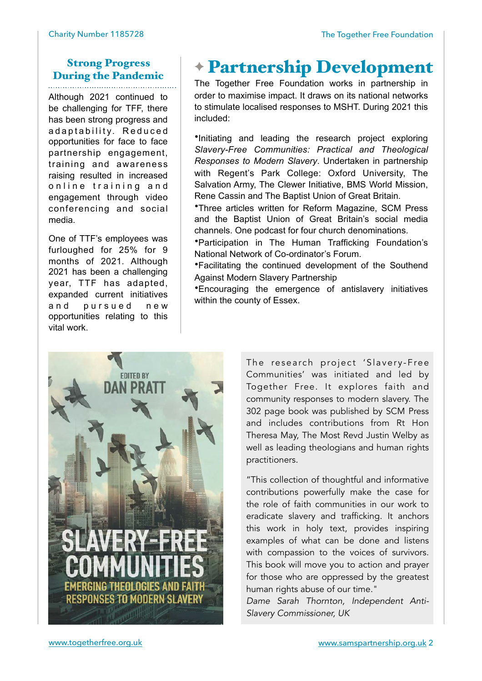### Strong Progress During the Pandemic

Although 2021 continued to be challenging for TFF, there has been strong progress and a d a p t a bility. Reduced opportunities for face to face partnership engagement, training and awareness raising resulted in increased online training and engagement through video conferencing and social media.

One of TTF's employees was furloughed for 25% for 9 months of 2021. Although 2021 has been a challenging year, TTF has adapted, expanded current initiatives and pursued new opportunities relating to this vital work.

### ✦ Partnership Development

The Together Free Foundation works in partnership in order to maximise impact. It draws on its national networks to stimulate localised responses to MSHT. During 2021 this included:

•Initiating and leading the research project exploring *Slavery-Free Communities: Practical and Theological Responses to Modern Slavery*. Undertaken in partnership with Regent's Park College: Oxford University, The Salvation Army, The Clewer Initiative, BMS World Mission, Rene Cassin and The Baptist Union of Great Britain.

•Three articles written for Reform Magazine, SCM Press and the Baptist Union of Great Britain's social media channels. One podcast for four church denominations.

•Participation in The Human Trafficking Foundation's National Network of Co-ordinator's Forum.

•Facilitating the continued development of the Southend Against Modern Slavery Partnership

•Encouraging the emergence of antislavery initiatives within the county of Essex.



The research project 'Slavery-Free Communities' was initiated and led by Together Free. It explores faith and community responses to modern slavery. The 302 page book was published by SCM Press and includes contributions from Rt Hon Theresa May, The Most Revd Justin Welby as well as leading theologians and human rights practitioners.

"This collection of thoughtful and informative contributions powerfully make the case for the role of faith communities in our work to eradicate slavery and trafficking. It anchors this work in holy text, provides inspiring examples of what can be done and listens with compassion to the voices of survivors. This book will move you to action and prayer for those who are oppressed by the greatest human rights abuse of our time."

*Dame Sarah Thornton, Independent Anti-Slavery Commissioner, UK*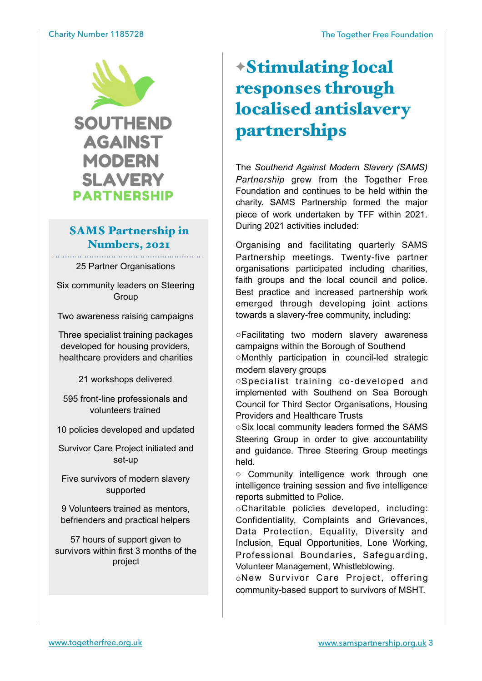

### SAMS Partnership in Numbers, 2021

#### 25 Partner Organisations

Six community leaders on Steering Group

Two awareness raising campaigns

Three specialist training packages developed for housing providers, healthcare providers and charities

21 workshops delivered

595 front-line professionals and volunteers trained

10 policies developed and updated

Survivor Care Project initiated and set-up

Five survivors of modern slavery supported

9 Volunteers trained as mentors, befrienders and practical helpers

57 hours of support given to survivors within first 3 months of the project

## ✦Stimulating local responses through localised antislavery partnerships

The *Southend Against Modern Slavery (SAMS) Partnership* grew from the Together Free Foundation and continues to be held within the charity. SAMS Partnership formed the major piece of work undertaken by TFF within 2021. During 2021 activities included:

Organising and facilitating quarterly SAMS Partnership meetings. Twenty-five partner organisations participated including charities, faith groups and the local council and police. Best practice and increased partnership work emerged through developing joint actions towards a slavery-free community, including:

oFacilitating two modern slavery awareness campaigns within the Borough of Southend oMonthly participation in council-led strategic

modern slavery groups

oSpecialist training co-developed and implemented with Southend on Sea Borough Council for Third Sector Organisations, Housing Providers and Healthcare Trusts

oSix local community leaders formed the SAMS Steering Group in order to give accountability and guidance. Three Steering Group meetings held.

o Community intelligence work through one intelligence training session and five intelligence reports submitted to Police.

oCharitable policies developed, including: Confidentiality, Complaints and Grievances, Data Protection, Equality, Diversity and Inclusion, Equal Opportunities, Lone Working, Professional Boundaries, Safeguarding, Volunteer Management, Whistleblowing.

oNew Survivor Care Project, offering community-based support to survivors of MSHT.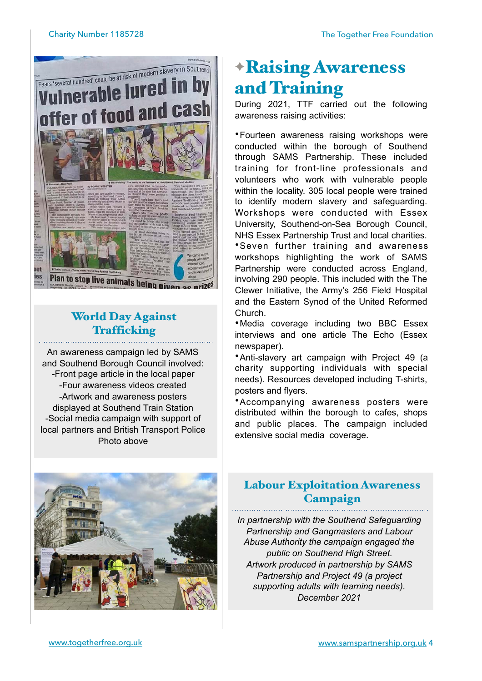

### World Day Against **Trafficking**

An awareness campaign led by SAMS and Southend Borough Council involved: -Front page article in the local paper -Four awareness videos created -Artwork and awareness posters displayed at Southend Train Station -Social media campaign with support of local partners and British Transport Police Photo above

### ✦Raising Awareness and Training

During 2021, TTF carried out the following awareness raising activities:

•Fourteen awareness raising workshops were conducted within the borough of Southend through SAMS Partnership. These included training for front-line professionals and volunteers who work with vulnerable people within the locality. 305 local people were trained to identify modern slavery and safeguarding. Workshops were conducted with Essex University, Southend-on-Sea Borough Council, NHS Essex Partnership Trust and local charities. •Seven further training and awareness workshops highlighting the work of SAMS Partnership were conducted across England,

involving 290 people. This included with the The Clewer Initiative, the Army's 256 Field Hospital and the Eastern Synod of the United Reformed Church.

•Media coverage including two BBC Essex interviews and one article The Echo (Essex newspaper).

•Anti-slavery art campaign with Project 49 (a charity supporting individuals with special needs). Resources developed including T-shirts, posters and flyers.

•Accompanying awareness posters were distributed within the borough to cafes, shops and public places. The campaign included extensive social media coverage.



### Labour Exploitation Awareness Campaign

*In partnership with the Southend Safeguarding Partnership and Gangmasters and Labour Abuse Authority the campaign engaged the public on Southend High Street. Artwork produced in partnership by SAMS Partnership and Project 49 (a project supporting adults with learning needs). December 2021*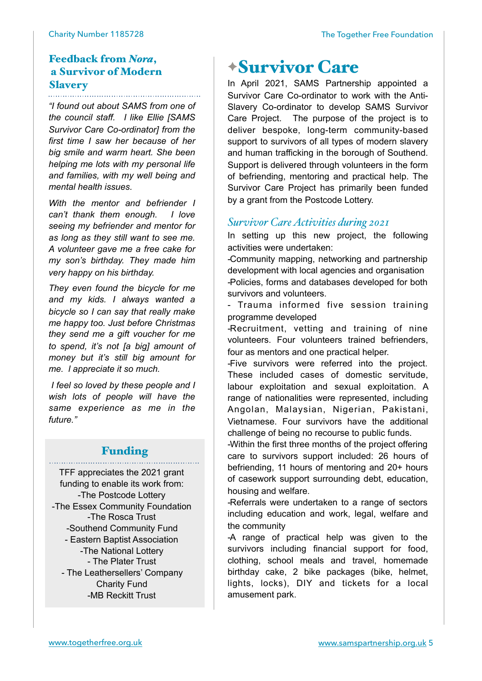### Feedback from *Nora*, a Survivor of Modern **Slavery**

*"I found out about SAMS from one of the council staff. I like Ellie [SAMS Survivor Care Co-ordinator] from the first time I saw her because of her big smile and warm heart. She been helping me lots with my personal life and families, with my well being and mental health issues.*

*With the mentor and befriender I can't thank them enough. I love seeing my befriender and mentor for as long as they still want to see me. A volunteer gave me a free cake for my son's birthday. They made him very happy on his birthday.*

*They even found the bicycle for me and my kids. I always wanted a bicycle so I can say that really make me happy too. Just before Christmas they send me a gift voucher for me to spend, it's not [a big] amount of money but it's still big amount for me. l appreciate it so much.*

 *I feel so loved by these people and I wish lots of people will have the same experience as me in the future."* 

#### Funding

TFF appreciates the 2021 grant funding to enable its work from: -The Postcode Lottery -The Essex Community Foundation -The Rosca Trust -Southend Community Fund - Eastern Baptist Association -The National Lottery - The Plater Trust - The Leathersellers' Company Charity Fund -MB Reckitt Trust

### ✦Survivor Care

In April 2021, SAMS Partnership appointed a Survivor Care Co-ordinator to work with the Anti-Slavery Co-ordinator to develop SAMS Survivor Care Project. The purpose of the project is to deliver bespoke, long-term community-based support to survivors of all types of modern slavery and human trafficking in the borough of Southend. Support is delivered through volunteers in the form of befriending, mentoring and practical help. The Survivor Care Project has primarily been funded by a grant from the Postcode Lottery.

### *Survivor Care Activities during 2021*

In setting up this new project, the following activities were undertaken:

-Community mapping, networking and partnership development with local agencies and organisation -Policies, forms and databases developed for both survivors and volunteers.

- Trauma informed five session training programme developed

-Recruitment, vetting and training of nine volunteers. Four volunteers trained befrienders, four as mentors and one practical helper.

-Five survivors were referred into the project. These included cases of domestic servitude, labour exploitation and sexual exploitation. A range of nationalities were represented, including Angolan, Malaysian, Nigerian, Pakistani, Vietnamese. Four survivors have the additional challenge of being no recourse to public funds.

-Within the first three months of the project offering care to survivors support included: 26 hours of befriending, 11 hours of mentoring and 20+ hours of casework support surrounding debt, education, housing and welfare.

-Referrals were undertaken to a range of sectors including education and work, legal, welfare and the community

-A range of practical help was given to the survivors including financial support for food, clothing, school meals and travel, homemade birthday cake, 2 bike packages (bike, helmet, lights, locks), DIY and tickets for a local amusement park.